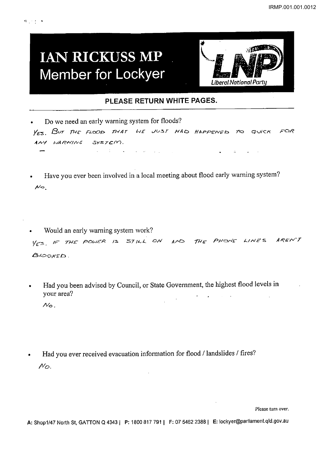## **IAN RICKUSS MP Member for Lockyer**



## **PLEASE RETURN WHITE PAGES.**

• Do we need an early warning system for floods? YES. BUT THE FLOOD THAT WE JUST HAD HAPPENED TO QUICK FOR ANY WARNING SYSTEM.  $\mathcal{A}^{\mathcal{A}}$  and  $\mathcal{A}^{\mathcal{A}}$  are the second conditions of the second conditions of  $\mathcal{A}^{\mathcal{A}}$  $\mathbf{q} = \mathbf{q}$  , where  $\mathbf{q} = \mathbf{q}$  ,  $\mathbf{q} = \mathbf{q}$  , and

- Have you ever been involved in a local meeting about flood early warning system?  $N<sub>0</sub>$
- Would an early warning system work? VES, IF THE POWER IS STILL ON AND THE PHONE LINES AREN'T **BLOCKED.**
- Had you been advised by Council, or State Government, the highest flood levels in your area?  $N_{\odot}$
- Had you ever received evacuation information for flood / landslides / fires? *1'/0.*